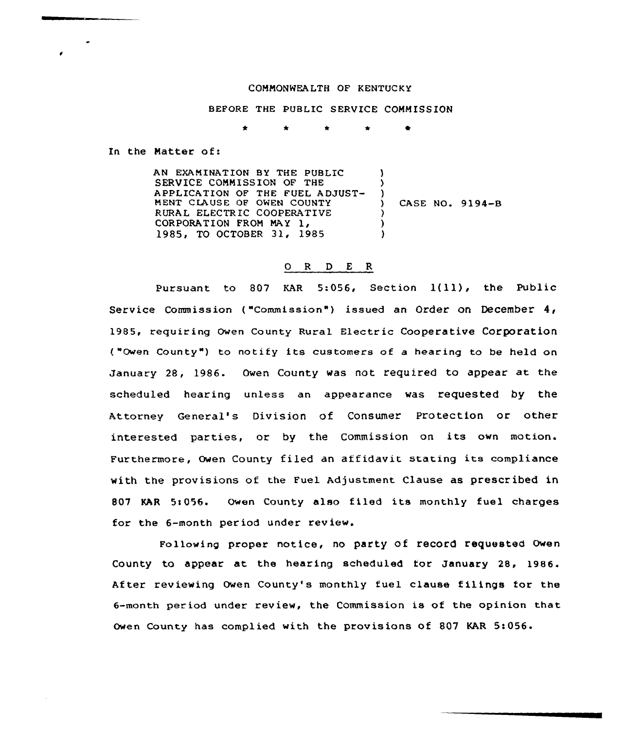## COMMONWEALTH OF KENTUCKY

## BEFORE THE PUBLIC SERVICE COMMISSION

In the Matter of:

AN EXAMINATION BY THE PUBLIC SERVICE COMMISSION OF THE APPLICATION OF THE FUEL ADJUST-MENT CLAUSE OF OWEN COUNTY RURAL ELECTRIC COOPERATIVE CORPORATION FROM MAY 1, 1985, TO OCTOBER 31, 1985 ) ) )<br>) ) CASE NO, 9194-B ) ) )

## 0 <sup>R</sup> <sup>D</sup> E R

Pursuant to 807 KAR 5:056, Section 1(11), the Public Service Commission ( "Commission" ) issued an Order on December 4, 1985, requiring Owen County Rural Electric Cooperative Corporation ("Owen County") to notify its customers of a hearing to be held on January 28, 1986. Owen County was not required to appear at the scheduled hearing unless an appearance was requested by the Attorney General's Division of Consumer Protection or other interested parties, or by the Commission on its own motion. Furthermore, Owen County filed an affidavit stating its compliance with the provisions of the Fuel Adjustment Clause as prescribed in 807 KAR 5:056. Owen County also filed its monthly fuel charges for the 6-month period under review.

Following proper notice, no party of record requested Owen County to appear at the hearing scheduled for January 28, 1986. After reviewing Owen County's monthly fuel clause filings for the 6-month period under review, the Commission is of the opinion that owen County has complied with the provisions of 807 KAR 5:056.